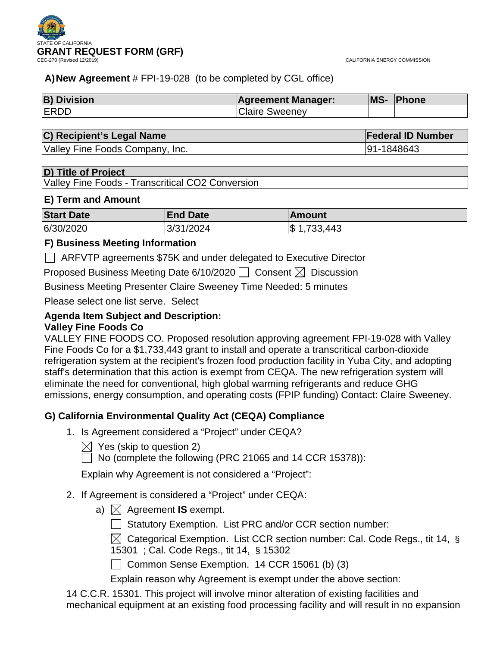

CALIFORNIA ENERGY COMMISSION

## **A)New Agreement** # FPI-19-028 (to be completed by CGL office)

| <b>B) Division</b> | <b>Agreement Manager:</b> | MS- | <b>Phone</b> |
|--------------------|---------------------------|-----|--------------|
| <b>ERDD</b>        | <b>Claire Sweeney</b>     |     |              |

# **C) Recipient's Legal Name Federal ID Number**

Valley Fine Foods Company, Inc. 91-1848643

### **D) Title of Project**

Valley Fine Foods - Transcritical CO2 Conversion

### **E) Term and Amount**

| <b>Start Date</b> | <b>End Date</b> | <b>IAmount</b>  |
|-------------------|-----------------|-----------------|
| 6/30/2020         | 3/31/2024       | $ \$ 1,733,443$ |

# **F) Business Meeting Information**

ARFVTP agreements \$75K and under delegated to Executive Director

Proposed Business Meeting Date 6/10/2020  $\Box$  Consent  $\boxtimes$  Discussion

Business Meeting Presenter Claire Sweeney Time Needed: 5 minutes

Please select one list serve. Select

### **Agenda Item Subject and Description: Valley Fine Foods Co**

# VALLEY FINE FOODS CO. Proposed resolution approving agreement FPI-19-028 with Valley Fine Foods Co for a \$1,733,443 grant to install and operate a transcritical carbon-dioxide refrigeration system at the recipient's frozen food production facility in Yuba City, and adopting staff's determination that this action is exempt from CEQA. The new refrigeration system will eliminate the need for conventional, high global warming refrigerants and reduce GHG emissions, energy consumption, and operating costs (FPIP funding) Contact: Claire Sweeney.

# **G) California Environmental Quality Act (CEQA) Compliance**

- 1. Is Agreement considered a "Project" under CEQA?
	- $\bowtie$  Yes (skip to question 2)
	- $\Box$  No (complete the following (PRC 21065 and 14 CCR 15378)):

Explain why Agreement is not considered a "Project":

- 2. If Agreement is considered a "Project" under CEQA:
	- a)  $\boxtimes$  Agreement **IS** exempt.
		- Statutory Exemption. List PRC and/or CCR section number:
		- $\boxtimes$  Categorical Exemption. List CCR section number: Cal. Code Regs., tit 14, § 15301 ; Cal. Code Regs., tit 14, § 15302
		- Common Sense Exemption. 14 CCR 15061 (b) (3)
		- Explain reason why Agreement is exempt under the above section:

14 C.C.R. 15301. This project will involve minor alteration of existing facilities and mechanical equipment at an existing food processing facility and will result in no expansion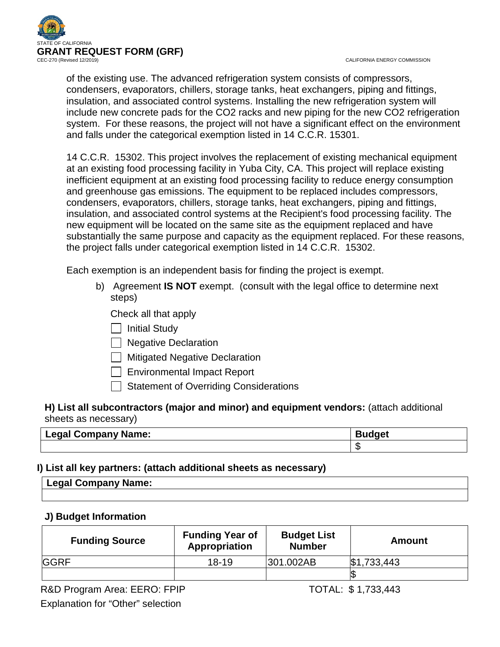

CALIFORNIA ENERGY COMMISSION

of the existing use. The advanced refrigeration system consists of compressors, condensers, evaporators, chillers, storage tanks, heat exchangers, piping and fittings, insulation, and associated control systems. Installing the new refrigeration system will include new concrete pads for the CO2 racks and new piping for the new CO2 refrigeration system. For these reasons, the project will not have a significant effect on the environment and falls under the categorical exemption listed in 14 C.C.R. 15301.

14 C.C.R. 15302. This project involves the replacement of existing mechanical equipment at an existing food processing facility in Yuba City, CA. This project will replace existing inefficient equipment at an existing food processing facility to reduce energy consumption and greenhouse gas emissions. The equipment to be replaced includes compressors, condensers, evaporators, chillers, storage tanks, heat exchangers, piping and fittings, insulation, and associated control systems at the Recipient's food processing facility. The new equipment will be located on the same site as the equipment replaced and have substantially the same purpose and capacity as the equipment replaced. For these reasons, the project falls under categorical exemption listed in 14 C.C.R. 15302.

Each exemption is an independent basis for finding the project is exempt.

- b) Agreement **IS NOT** exempt. (consult with the legal office to determine next steps)
	- Check all that apply
	- $\Box$  Initial Study
	- $\Box$  Negative Declaration
	- **Mitigated Negative Declaration**
	- $\Box$  Environmental Impact Report
	- $\Box$  Statement of Overriding Considerations

# **H) List all subcontractors (major and minor) and equipment vendors:** (attach additional sheets as necessary)

| Name:<br>Legal Company<br>ี่⊨∾ฺฯ | نہ یہ ا |  |
|----------------------------------|---------|--|
|                                  |         |  |

# **I) List all key partners: (attach additional sheets as necessary)**

| <b>II Company Name:</b> |  |
|-------------------------|--|
|                         |  |

# **J) Budget Information**

| <b>Funding Source</b> | <b>Funding Year of</b><br>Appropriation | <b>Budget List</b><br><b>Number</b> | Amount      |
|-----------------------|-----------------------------------------|-------------------------------------|-------------|
| <b>GGRF</b>           | $18-19$                                 | 301.002AB                           | \$1,733,443 |
|                       |                                         |                                     |             |

R&D Program Area: EERO: FPIP TOTAL: \$1,733,443 Explanation for "Other" selection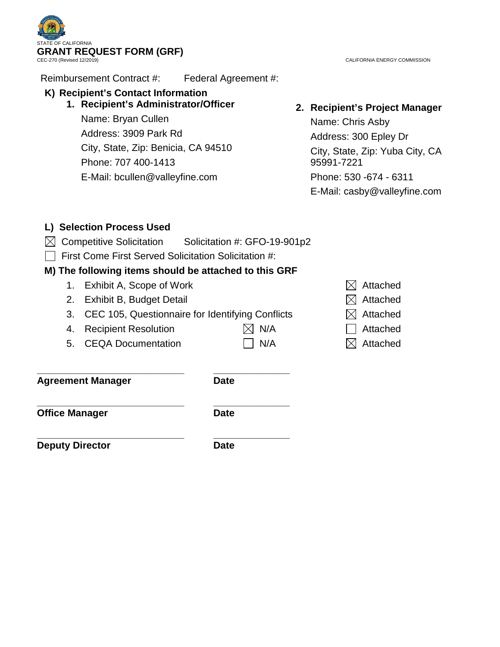**TE OF CALIFORNIA** GRANT REQUEST FORM (GRF)<br>CEC-270 (Revised 12/2019)

CALIFORNIA ENERGY COMMISSION

Reimbursement Contract #: Federal Agreement #:

# **K) Recipient's Contact Information**

**1. Recipient's Administrator/Officer**

Name: Bryan Cullen Address: 3909 Park Rd City, State, Zip: Benicia, CA 94510 Phone: 707 400-1413 E-Mail: bcullen@valleyfine.com

# **2. Recipient's Project Manager**

Name: Chris Asby Address: 300 Epley Dr City, State, Zip: Yuba City, CA 95991-7221 Phone: 530 -674 - 6311 E-Mail: casby@valleyfine.com

# **L) Selection Process Used**

- $\boxtimes$  Competitive Solicitation Solicitation #: GFO-19-901p2
- $\Box$  First Come First Served Solicitation Solicitation #:

**\_\_\_\_\_\_\_\_\_\_\_\_\_\_\_\_\_\_\_\_\_\_\_\_\_\_\_ \_\_\_\_\_\_\_\_\_\_\_\_\_\_**

# **M) The following items should be attached to this GRF**

- 1. Exhibit A, Scope of Work  $\boxtimes$  Attached
- 2. Exhibit B, Budget Detail  $\boxtimes$  Attached
- 3. CEC 105, Questionnaire for Identifying Conflicts  $\boxtimes$  Attached
- 4. Recipient Resolution  $\boxtimes$  N/A  $\Box$  Attached
- 5. CEQA Documentation  $\Box$  N/A  $\boxtimes$  Attached
- 
- 
- 
- 
- 
- 

**Agreement Manager Date** 

**\_\_\_\_\_\_\_\_\_\_\_\_\_\_\_\_\_\_\_\_\_\_\_\_\_\_\_ \_\_\_\_\_\_\_\_\_\_\_\_\_\_ Office Manager Date** 

**\_\_\_\_\_\_\_\_\_\_\_\_\_\_\_\_\_\_\_\_\_\_\_\_\_\_\_ \_\_\_\_\_\_\_\_\_\_\_\_\_\_ Deputy Director Date**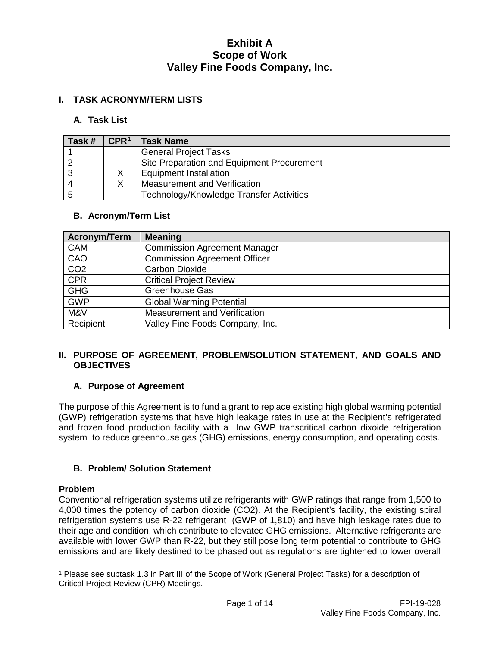## **I. TASK ACRONYM/TERM LISTS**

#### **A. Task List**

| Task # | $\mathsf{CPR}^1$ | <b>Task Name</b>                           |
|--------|------------------|--------------------------------------------|
|        |                  | <b>General Project Tasks</b>               |
|        |                  | Site Preparation and Equipment Procurement |
|        |                  | <b>Equipment Installation</b>              |
|        |                  | Measurement and Verification               |
|        |                  | Technology/Knowledge Transfer Activities   |

### **B. Acronym/Term List**

| <b>Acronym/Term</b> | <b>Meaning</b>                      |
|---------------------|-------------------------------------|
| <b>CAM</b>          | <b>Commission Agreement Manager</b> |
| CAO                 | <b>Commission Agreement Officer</b> |
| CO <sub>2</sub>     | <b>Carbon Dioxide</b>               |
| <b>CPR</b>          | <b>Critical Project Review</b>      |
| <b>GHG</b>          | <b>Greenhouse Gas</b>               |
| <b>GWP</b>          | <b>Global Warming Potential</b>     |
| M&V                 | Measurement and Verification        |
| Recipient           | Valley Fine Foods Company, Inc.     |

### **II. PURPOSE OF AGREEMENT, PROBLEM/SOLUTION STATEMENT, AND GOALS AND OBJECTIVES**

### **A. Purpose of Agreement**

The purpose of this Agreement is to fund a grant to replace existing high global warming potential (GWP) refrigeration systems that have high leakage rates in use at the Recipient's refrigerated and frozen food production facility with a low GWP transcritical carbon dixoide refrigeration system to reduce greenhouse gas (GHG) emissions, energy consumption, and operating costs.

### **B. Problem/ Solution Statement**

### **Problem**

 $\overline{a}$ 

Conventional refrigeration systems utilize refrigerants with GWP ratings that range from 1,500 to 4,000 times the potency of carbon dioxide (CO2). At the Recipient's facility, the existing spiral refrigeration systems use R-22 refrigerant (GWP of 1,810) and have high leakage rates due to their age and condition, which contribute to elevated GHG emissions. Alternative refrigerants are available with lower GWP than R-22, but they still pose long term potential to contribute to GHG emissions and are likely destined to be phased out as regulations are tightened to lower overall

<span id="page-3-0"></span><sup>1</sup> Please see subtask 1.3 in Part III of the Scope of Work (General Project Tasks) for a description of Critical Project Review (CPR) Meetings.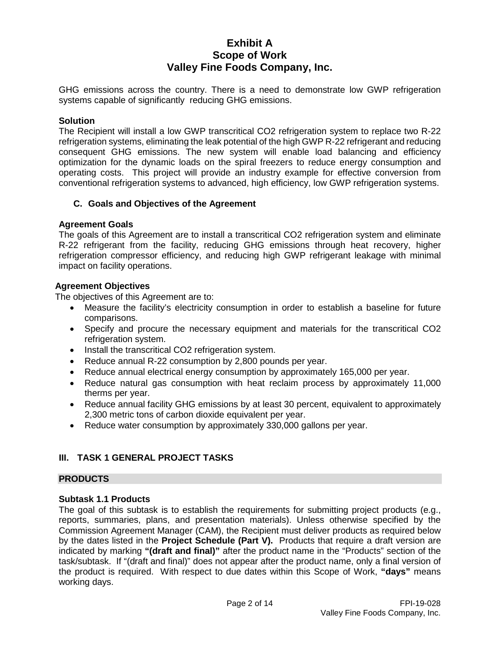GHG emissions across the country. There is a need to demonstrate low GWP refrigeration systems capable of significantly reducing GHG emissions.

#### **Solution**

The Recipient will install a low GWP transcritical CO2 refrigeration system to replace two R-22 refrigeration systems, eliminating the leak potential of the high GWP R-22 refrigerant and reducing consequent GHG emissions. The new system will enable load balancing and efficiency optimization for the dynamic loads on the spiral freezers to reduce energy consumption and operating costs. This project will provide an industry example for effective conversion from conventional refrigeration systems to advanced, high efficiency, low GWP refrigeration systems.

#### **C. Goals and Objectives of the Agreement**

#### **Agreement Goals**

The goals of this Agreement are to install a transcritical CO2 refrigeration system and eliminate R-22 refrigerant from the facility, reducing GHG emissions through heat recovery, higher refrigeration compressor efficiency, and reducing high GWP refrigerant leakage with minimal impact on facility operations.

#### **Agreement Objectives**

The objectives of this Agreement are to:

- Measure the facility's electricity consumption in order to establish a baseline for future comparisons.
- Specify and procure the necessary equipment and materials for the transcritical CO2 refrigeration system.
- Install the transcritical CO2 refrigeration system.
- Reduce annual R-22 consumption by 2,800 pounds per year.
- Reduce annual electrical energy consumption by approximately 165,000 per year.
- Reduce natural gas consumption with heat reclaim process by approximately 11,000 therms per year.
- Reduce annual facility GHG emissions by at least 30 percent, equivalent to approximately 2,300 metric tons of carbon dioxide equivalent per year.
- Reduce water consumption by approximately 330,000 gallons per year.

## **III. TASK 1 GENERAL PROJECT TASKS**

#### **PRODUCTS**

#### **Subtask 1.1 Products**

The goal of this subtask is to establish the requirements for submitting project products (e.g., reports, summaries, plans, and presentation materials). Unless otherwise specified by the Commission Agreement Manager (CAM), the Recipient must deliver products as required below by the dates listed in the **Project Schedule (Part V).** Products that require a draft version are indicated by marking **"(draft and final)"** after the product name in the "Products" section of the task/subtask. If "(draft and final)" does not appear after the product name, only a final version of the product is required. With respect to due dates within this Scope of Work, **"days"** means working days.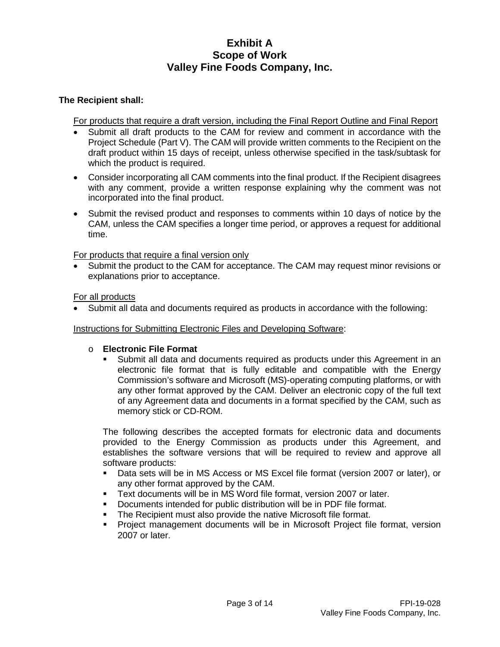#### **The Recipient shall:**

For products that require a draft version, including the Final Report Outline and Final Report

- Submit all draft products to the CAM for review and comment in accordance with the Project Schedule (Part V). The CAM will provide written comments to the Recipient on the draft product within 15 days of receipt, unless otherwise specified in the task/subtask for which the product is required.
- Consider incorporating all CAM comments into the final product. If the Recipient disagrees with any comment, provide a written response explaining why the comment was not incorporated into the final product.
- Submit the revised product and responses to comments within 10 days of notice by the CAM, unless the CAM specifies a longer time period, or approves a request for additional time.

For products that require a final version only

• Submit the product to the CAM for acceptance. The CAM may request minor revisions or explanations prior to acceptance.

For all products

• Submit all data and documents required as products in accordance with the following:

Instructions for Submitting Electronic Files and Developing Software:

#### o **Electronic File Format**

 Submit all data and documents required as products under this Agreement in an electronic file format that is fully editable and compatible with the Energy Commission's software and Microsoft (MS)-operating computing platforms, or with any other format approved by the CAM. Deliver an electronic copy of the full text of any Agreement data and documents in a format specified by the CAM, such as memory stick or CD-ROM.

The following describes the accepted formats for electronic data and documents provided to the Energy Commission as products under this Agreement, and establishes the software versions that will be required to review and approve all software products:

- Data sets will be in MS Access or MS Excel file format (version 2007 or later), or any other format approved by the CAM.
- Text documents will be in MS Word file format, version 2007 or later.
- Documents intended for public distribution will be in PDF file format.
- **The Recipient must also provide the native Microsoft file format.**
- Project management documents will be in Microsoft Project file format, version 2007 or later.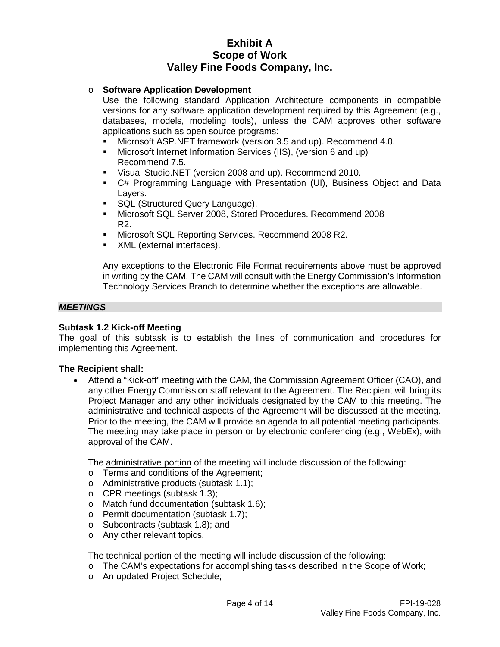#### o **Software Application Development**

Use the following standard Application Architecture components in compatible versions for any software application development required by this Agreement (e.g., databases, models, modeling tools), unless the CAM approves other software applications such as open source programs:

- Microsoft ASP.NET framework (version 3.5 and up). Recommend 4.0.
- Microsoft Internet Information Services (IIS), (version 6 and up) Recommend 7.5.
- Visual Studio.NET (version 2008 and up). Recommend 2010.
- C# Programming Language with Presentation (UI), Business Object and Data Layers.
- **SQL (Structured Query Language).**
- Microsoft SQL Server 2008, Stored Procedures. Recommend 2008 R2.
- **Microsoft SQL Reporting Services. Recommend 2008 R2.**
- **XML** (external interfaces).

Any exceptions to the Electronic File Format requirements above must be approved in writing by the CAM. The CAM will consult with the Energy Commission's Information Technology Services Branch to determine whether the exceptions are allowable.

#### *MEETINGS*

#### **Subtask 1.2 Kick-off Meeting**

The goal of this subtask is to establish the lines of communication and procedures for implementing this Agreement.

#### **The Recipient shall:**

• Attend a "Kick-off" meeting with the CAM, the Commission Agreement Officer (CAO), and any other Energy Commission staff relevant to the Agreement. The Recipient will bring its Project Manager and any other individuals designated by the CAM to this meeting. The administrative and technical aspects of the Agreement will be discussed at the meeting. Prior to the meeting, the CAM will provide an agenda to all potential meeting participants. The meeting may take place in person or by electronic conferencing (e.g., WebEx), with approval of the CAM.

The administrative portion of the meeting will include discussion of the following:

- o Terms and conditions of the Agreement;
- o Administrative products (subtask 1.1);
- o CPR meetings (subtask 1.3);
- o Match fund documentation (subtask 1.6);
- o Permit documentation (subtask 1.7);
- o Subcontracts (subtask 1.8); and
- o Any other relevant topics.

The technical portion of the meeting will include discussion of the following:

- o The CAM's expectations for accomplishing tasks described in the Scope of Work;
- o An updated Project Schedule;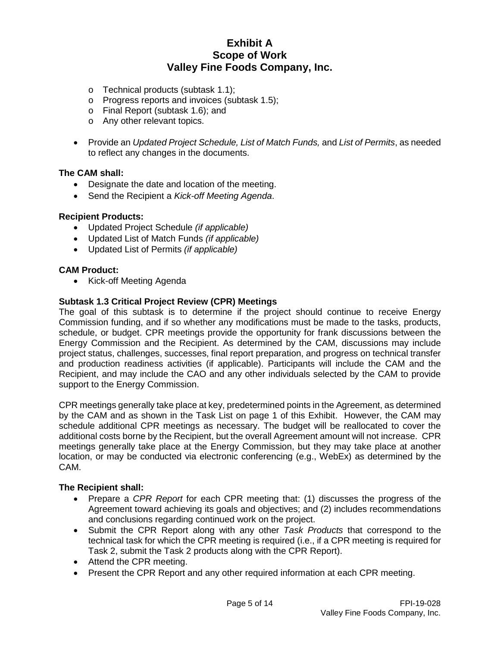- o Technical products (subtask 1.1);
- o Progress reports and invoices (subtask 1.5);
- o Final Report (subtask 1.6); and
- o Any other relevant topics.
- Provide an *Updated Project Schedule, List of Match Funds,* and *List of Permits*, as needed to reflect any changes in the documents.

#### **The CAM shall:**

- Designate the date and location of the meeting.
- Send the Recipient a *Kick-off Meeting Agenda*.

#### **Recipient Products:**

- Updated Project Schedule *(if applicable)*
- Updated List of Match Funds *(if applicable)*
- Updated List of Permits *(if applicable)*

#### **CAM Product:**

• Kick-off Meeting Agenda

#### **Subtask 1.3 Critical Project Review (CPR) Meetings**

The goal of this subtask is to determine if the project should continue to receive Energy Commission funding, and if so whether any modifications must be made to the tasks, products, schedule, or budget. CPR meetings provide the opportunity for frank discussions between the Energy Commission and the Recipient. As determined by the CAM, discussions may include project status, challenges, successes, final report preparation, and progress on technical transfer and production readiness activities (if applicable). Participants will include the CAM and the Recipient, and may include the CAO and any other individuals selected by the CAM to provide support to the Energy Commission.

CPR meetings generally take place at key, predetermined points in the Agreement, as determined by the CAM and as shown in the Task List on page 1 of this Exhibit. However, the CAM may schedule additional CPR meetings as necessary. The budget will be reallocated to cover the additional costs borne by the Recipient, but the overall Agreement amount will not increase. CPR meetings generally take place at the Energy Commission, but they may take place at another location, or may be conducted via electronic conferencing (e.g., WebEx) as determined by the CAM.

#### **The Recipient shall:**

- Prepare a *CPR Report* for each CPR meeting that: (1) discusses the progress of the Agreement toward achieving its goals and objectives; and (2) includes recommendations and conclusions regarding continued work on the project.
- Submit the CPR Report along with any other *Task Products* that correspond to the technical task for which the CPR meeting is required (i.e., if a CPR meeting is required for Task 2, submit the Task 2 products along with the CPR Report).
- Attend the CPR meeting.
- Present the CPR Report and any other required information at each CPR meeting.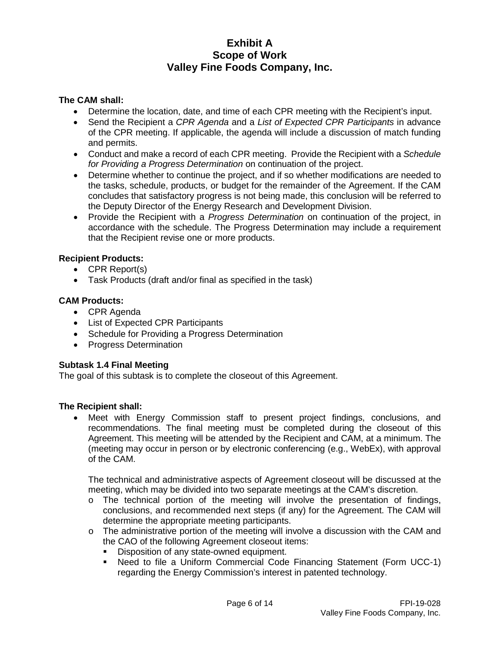### **The CAM shall:**

- Determine the location, date, and time of each CPR meeting with the Recipient's input.
- Send the Recipient a *CPR Agenda* and a *List of Expected CPR Participants* in advance of the CPR meeting. If applicable, the agenda will include a discussion of match funding and permits.
- Conduct and make a record of each CPR meeting. Provide the Recipient with a *Schedule for Providing a Progress Determination* on continuation of the project.
- Determine whether to continue the project, and if so whether modifications are needed to the tasks, schedule, products, or budget for the remainder of the Agreement. If the CAM concludes that satisfactory progress is not being made, this conclusion will be referred to the Deputy Director of the Energy Research and Development Division.
- Provide the Recipient with a *Progress Determination* on continuation of the project, in accordance with the schedule. The Progress Determination may include a requirement that the Recipient revise one or more products.

### **Recipient Products:**

- CPR Report(s)
- Task Products (draft and/or final as specified in the task)

### **CAM Products:**

- CPR Agenda
- List of Expected CPR Participants
- Schedule for Providing a Progress Determination
- Progress Determination

#### **Subtask 1.4 Final Meeting**

The goal of this subtask is to complete the closeout of this Agreement.

#### **The Recipient shall:**

• Meet with Energy Commission staff to present project findings, conclusions, and recommendations. The final meeting must be completed during the closeout of this Agreement. This meeting will be attended by the Recipient and CAM, at a minimum. The (meeting may occur in person or by electronic conferencing (e.g., WebEx), with approval of the CAM.

The technical and administrative aspects of Agreement closeout will be discussed at the meeting, which may be divided into two separate meetings at the CAM's discretion.

- o The technical portion of the meeting will involve the presentation of findings, conclusions, and recommended next steps (if any) for the Agreement. The CAM will determine the appropriate meeting participants.
- $\circ$  The administrative portion of the meeting will involve a discussion with the CAM and the CAO of the following Agreement closeout items:
	- Disposition of any state-owned equipment.
	- Need to file a Uniform Commercial Code Financing Statement (Form UCC-1) regarding the Energy Commission's interest in patented technology.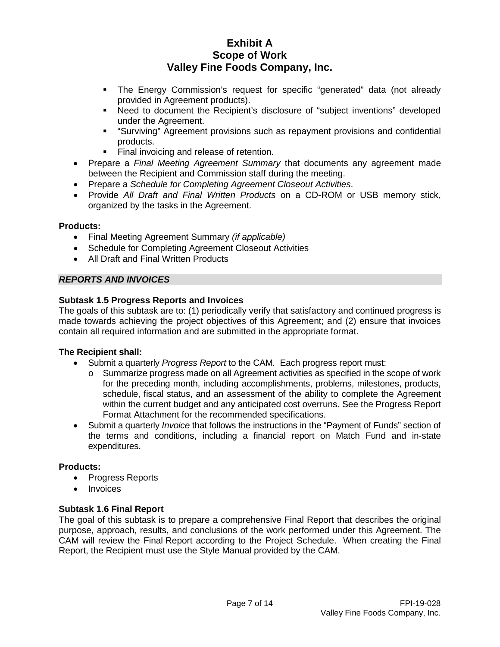- The Energy Commission's request for specific "generated" data (not already provided in Agreement products).
- Need to document the Recipient's disclosure of "subject inventions" developed under the Agreement.
- "Surviving" Agreement provisions such as repayment provisions and confidential products.
- **Final invoicing and release of retention.**
- Prepare a *Final Meeting Agreement Summary* that documents any agreement made between the Recipient and Commission staff during the meeting.
- Prepare a *Schedule for Completing Agreement Closeout Activities*.
- Provide *All Draft and Final Written Products* on a CD-ROM or USB memory stick, organized by the tasks in the Agreement.

### **Products:**

- Final Meeting Agreement Summary *(if applicable)*
- Schedule for Completing Agreement Closeout Activities
- All Draft and Final Written Products

### *REPORTS AND INVOICES*

### **Subtask 1.5 Progress Reports and Invoices**

The goals of this subtask are to: (1) periodically verify that satisfactory and continued progress is made towards achieving the project objectives of this Agreement; and (2) ensure that invoices contain all required information and are submitted in the appropriate format.

### **The Recipient shall:**

- Submit a quarterly *Progress Report* to the CAM. Each progress report must:
	- $\circ$  Summarize progress made on all Agreement activities as specified in the scope of work for the preceding month, including accomplishments, problems, milestones, products, schedule, fiscal status, and an assessment of the ability to complete the Agreement within the current budget and any anticipated cost overruns. See the Progress Report Format Attachment for the recommended specifications.
- Submit a quarterly *Invoice* that follows the instructions in the "Payment of Funds" section of the terms and conditions, including a financial report on Match Fund and in-state expenditures.

### **Products:**

- Progress Reports
- **Invoices**

### **Subtask 1.6 Final Report**

The goal of this subtask is to prepare a comprehensive Final Report that describes the original purpose, approach, results, and conclusions of the work performed under this Agreement. The CAM will review the Final Report according to the Project Schedule. When creating the Final Report, the Recipient must use the Style Manual provided by the CAM.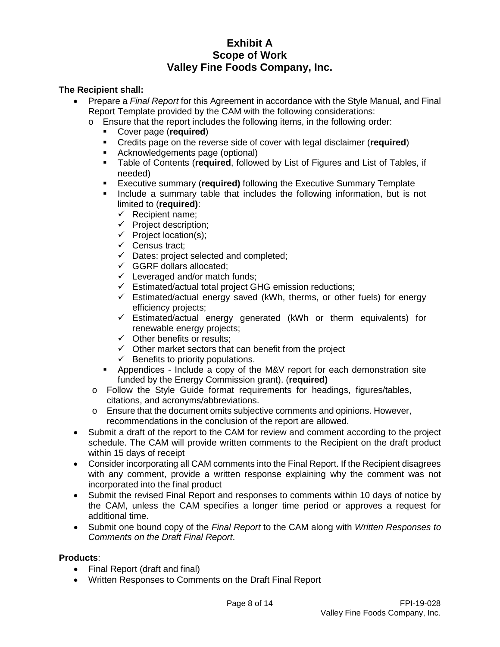## **The Recipient shall:**

- Prepare a *Final Report* for this Agreement in accordance with the Style Manual, and Final Report Template provided by the CAM with the following considerations:
	- o Ensure that the report includes the following items, in the following order:
		- **Cover page (required)**<br>Credits page on the rev
		- **Credits page on the reverse side of cover with legal disclaimer (required)**<br>**EXEC** Acknowledgements page (optional)
		- Acknowledgements page (optional)
		- Table of Contents (**required**, followed by List of Figures and List of Tables, if needed)
		- Executive summary (**required)** following the Executive Summary Template
		- Include a summary table that includes the following information, but is not limited to (**required)**:
			- $\checkmark$  Recipient name;
			- $\checkmark$  Project description;
			- $\checkmark$  Project location(s);
			- $\checkmark$  Census tract;
			- $\checkmark$  Dates: project selected and completed;
			- $\checkmark$  GGRF dollars allocated;
			- $\checkmark$  Leveraged and/or match funds;
			- $\checkmark$  Estimated/actual total project GHG emission reductions;
			- $\checkmark$  Estimated/actual energy saved (kWh, therms, or other fuels) for energy efficiency projects;
			- $\checkmark$  Estimated/actual energy generated (kWh or therm equivalents) for renewable energy projects;
			- $\checkmark$  Other benefits or results;
			- $\checkmark$  Other market sectors that can benefit from the project
			- $\checkmark$  Benefits to priority populations.
		- Appendices Include a copy of the M&V report for each demonstration site funded by the Energy Commission grant). (**required)**
	- o Follow the Style Guide format requirements for headings, figures/tables, citations, and acronyms/abbreviations.
	- o Ensure that the document omits subjective comments and opinions. However, recommendations in the conclusion of the report are allowed.
- Submit a draft of the report to the CAM for review and comment according to the project schedule. The CAM will provide written comments to the Recipient on the draft product within 15 days of receipt
- Consider incorporating all CAM comments into the Final Report. If the Recipient disagrees with any comment, provide a written response explaining why the comment was not incorporated into the final product
- Submit the revised Final Report and responses to comments within 10 days of notice by the CAM, unless the CAM specifies a longer time period or approves a request for additional time.
- Submit one bound copy of the *Final Report* to the CAM along with *Written Responses to Comments on the Draft Final Report*.

### **Products**:

- Final Report (draft and final)
- Written Responses to Comments on the Draft Final Report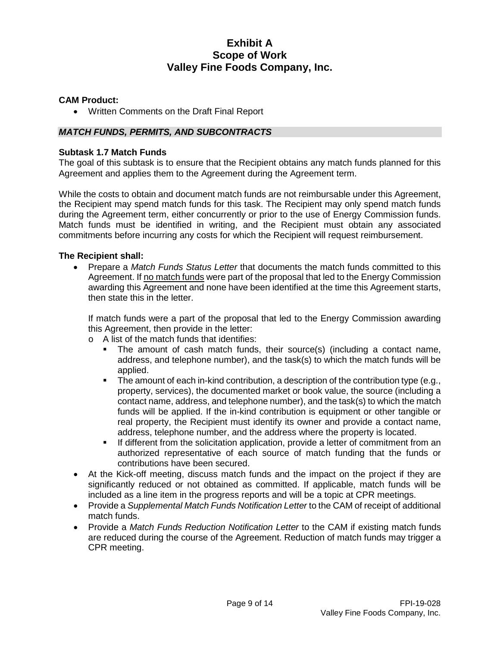### **CAM Product:**

• Written Comments on the Draft Final Report

### *MATCH FUNDS, PERMITS, AND SUBCONTRACTS*

#### **Subtask 1.7 Match Funds**

The goal of this subtask is to ensure that the Recipient obtains any match funds planned for this Agreement and applies them to the Agreement during the Agreement term.

While the costs to obtain and document match funds are not reimbursable under this Agreement, the Recipient may spend match funds for this task. The Recipient may only spend match funds during the Agreement term, either concurrently or prior to the use of Energy Commission funds. Match funds must be identified in writing, and the Recipient must obtain any associated commitments before incurring any costs for which the Recipient will request reimbursement.

### **The Recipient shall:**

• Prepare a *Match Funds Status Letter* that documents the match funds committed to this Agreement. If no match funds were part of the proposal that led to the Energy Commission awarding this Agreement and none have been identified at the time this Agreement starts, then state this in the letter.

If match funds were a part of the proposal that led to the Energy Commission awarding this Agreement, then provide in the letter:

- o A list of the match funds that identifies:
	- The amount of cash match funds, their source(s) (including a contact name, address, and telephone number), and the task(s) to which the match funds will be applied.
	- The amount of each in-kind contribution, a description of the contribution type (e.g., property, services), the documented market or book value, the source (including a contact name, address, and telephone number), and the task(s) to which the match funds will be applied. If the in-kind contribution is equipment or other tangible or real property, the Recipient must identify its owner and provide a contact name, address, telephone number, and the address where the property is located.
	- If different from the solicitation application, provide a letter of commitment from an authorized representative of each source of match funding that the funds or contributions have been secured.
- At the Kick-off meeting, discuss match funds and the impact on the project if they are significantly reduced or not obtained as committed. If applicable, match funds will be included as a line item in the progress reports and will be a topic at CPR meetings.
- Provide a *Supplemental Match Funds Notification Letter* to the CAM of receipt of additional match funds.
- Provide a *Match Funds Reduction Notification Letter* to the CAM if existing match funds are reduced during the course of the Agreement. Reduction of match funds may trigger a CPR meeting.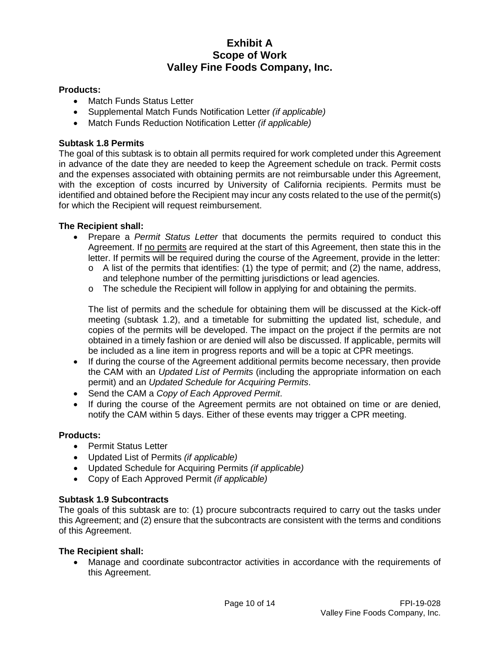## **Products:**

- Match Funds Status Letter
- Supplemental Match Funds Notification Letter *(if applicable)*
- Match Funds Reduction Notification Letter *(if applicable)*

## **Subtask 1.8 Permits**

The goal of this subtask is to obtain all permits required for work completed under this Agreement in advance of the date they are needed to keep the Agreement schedule on track. Permit costs and the expenses associated with obtaining permits are not reimbursable under this Agreement, with the exception of costs incurred by University of California recipients. Permits must be identified and obtained before the Recipient may incur any costs related to the use of the permit(s) for which the Recipient will request reimbursement.

## **The Recipient shall:**

- Prepare a *Permit Status Letter* that documents the permits required to conduct this Agreement. If no permits are required at the start of this Agreement, then state this in the letter. If permits will be required during the course of the Agreement, provide in the letter:
	- $\circ$  A list of the permits that identifies: (1) the type of permit; and (2) the name, address, and telephone number of the permitting jurisdictions or lead agencies.
	- o The schedule the Recipient will follow in applying for and obtaining the permits.

The list of permits and the schedule for obtaining them will be discussed at the Kick-off meeting (subtask 1.2), and a timetable for submitting the updated list, schedule, and copies of the permits will be developed. The impact on the project if the permits are not obtained in a timely fashion or are denied will also be discussed. If applicable, permits will be included as a line item in progress reports and will be a topic at CPR meetings.

- If during the course of the Agreement additional permits become necessary, then provide the CAM with an *Updated List of Permits* (including the appropriate information on each permit) and an *Updated Schedule for Acquiring Permits*.
- Send the CAM a *Copy of Each Approved Permit*.
- If during the course of the Agreement permits are not obtained on time or are denied, notify the CAM within 5 days. Either of these events may trigger a CPR meeting.

### **Products:**

- Permit Status Letter
- Updated List of Permits *(if applicable)*
- Updated Schedule for Acquiring Permits *(if applicable)*
- Copy of Each Approved Permit *(if applicable)*

### **Subtask 1.9 Subcontracts**

The goals of this subtask are to: (1) procure subcontracts required to carry out the tasks under this Agreement; and (2) ensure that the subcontracts are consistent with the terms and conditions of this Agreement.

### **The Recipient shall:**

• Manage and coordinate subcontractor activities in accordance with the requirements of this Agreement.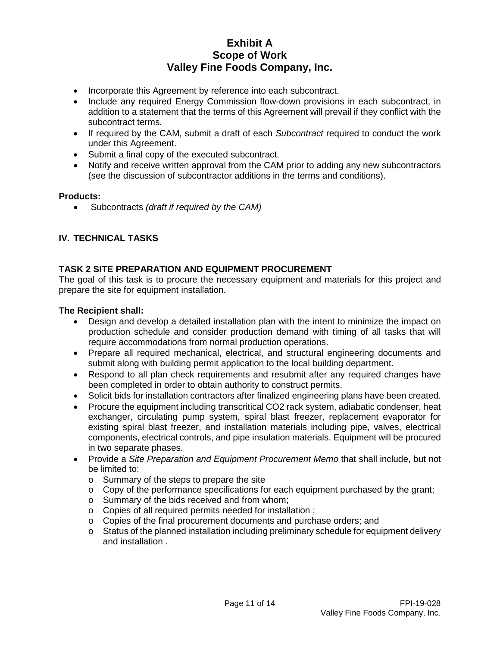- Incorporate this Agreement by reference into each subcontract.
- Include any required Energy Commission flow-down provisions in each subcontract, in addition to a statement that the terms of this Agreement will prevail if they conflict with the subcontract terms.
- If required by the CAM, submit a draft of each *Subcontract* required to conduct the work under this Agreement.
- Submit a final copy of the executed subcontract.
- Notify and receive written approval from the CAM prior to adding any new subcontractors (see the discussion of subcontractor additions in the terms and conditions).

### **Products:**

• Subcontracts *(draft if required by the CAM)*

# **IV. TECHNICAL TASKS**

# **TASK 2 SITE PREPARATION AND EQUIPMENT PROCUREMENT**

The goal of this task is to procure the necessary equipment and materials for this project and prepare the site for equipment installation.

#### **The Recipient shall:**

- Design and develop a detailed installation plan with the intent to minimize the impact on production schedule and consider production demand with timing of all tasks that will require accommodations from normal production operations.
- Prepare all required mechanical, electrical, and structural engineering documents and submit along with building permit application to the local building department.
- Respond to all plan check requirements and resubmit after any required changes have been completed in order to obtain authority to construct permits.
- Solicit bids for installation contractors after finalized engineering plans have been created.
- Procure the equipment including transcritical CO2 rack system, adiabatic condenser, heat exchanger, circulating pump system, spiral blast freezer, replacement evaporator for existing spiral blast freezer, and installation materials including pipe, valves, electrical components, electrical controls, and pipe insulation materials. Equipment will be procured in two separate phases.
- Provide a *Site Preparation and Equipment Procurement Memo* that shall include, but not be limited to:
	- o Summary of the steps to prepare the site
	- $\circ$  Copy of the performance specifications for each equipment purchased by the grant;
	- o Summary of the bids received and from whom;
	- o Copies of all required permits needed for installation ;
	- o Copies of the final procurement documents and purchase orders; and
	- $\circ$  Status of the planned installation including preliminary schedule for equipment delivery and installation .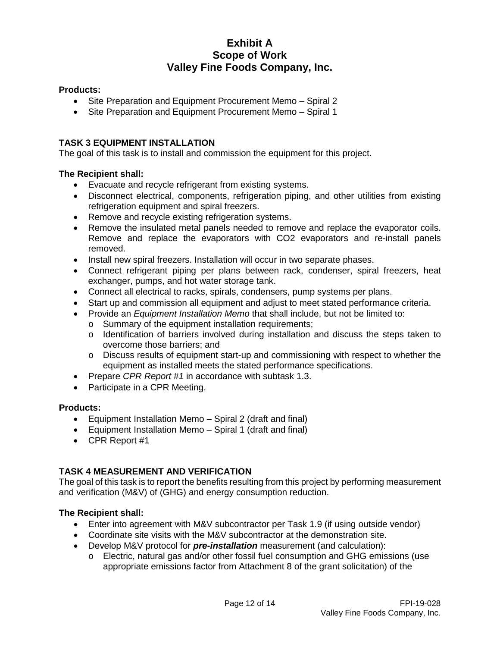## **Products:**

- Site Preparation and Equipment Procurement Memo Spiral 2
- Site Preparation and Equipment Procurement Memo Spiral 1

### **TASK 3 EQUIPMENT INSTALLATION**

The goal of this task is to install and commission the equipment for this project.

### **The Recipient shall:**

- Evacuate and recycle refrigerant from existing systems.
- Disconnect electrical, components, refrigeration piping, and other utilities from existing refrigeration equipment and spiral freezers.
- Remove and recycle existing refrigeration systems.
- Remove the insulated metal panels needed to remove and replace the evaporator coils. Remove and replace the evaporators with CO2 evaporators and re-install panels removed.
- Install new spiral freezers. Installation will occur in two separate phases.
- Connect refrigerant piping per plans between rack, condenser, spiral freezers, heat exchanger, pumps, and hot water storage tank.
- Connect all electrical to racks, spirals, condensers, pump systems per plans.
- Start up and commission all equipment and adjust to meet stated performance criteria.
- Provide an *Equipment Installation Memo* that shall include, but not be limited to:
	- o Summary of the equipment installation requirements;
	- o Identification of barriers involved during installation and discuss the steps taken to overcome those barriers; and
	- o Discuss results of equipment start-up and commissioning with respect to whether the equipment as installed meets the stated performance specifications.
- Prepare *CPR Report #1* in accordance with subtask 1.3.
- Participate in a CPR Meeting.

#### **Products:**

- Equipment Installation Memo Spiral 2 (draft and final)
- Equipment Installation Memo Spiral 1 (draft and final)
- CPR Report #1

# **TASK 4 MEASUREMENT AND VERIFICATION**

The goal of this task is to report the benefits resulting from this project by performing measurement and verification (M&V) of (GHG) and energy consumption reduction.

### **The Recipient shall:**

- Enter into agreement with M&V subcontractor per Task 1.9 (if using outside vendor)
- Coordinate site visits with the M&V subcontractor at the demonstration site.
- Develop M&V protocol for *pre-installation* measurement (and calculation):
	- o Electric, natural gas and/or other fossil fuel consumption and GHG emissions (use appropriate emissions factor from Attachment 8 of the grant solicitation) of the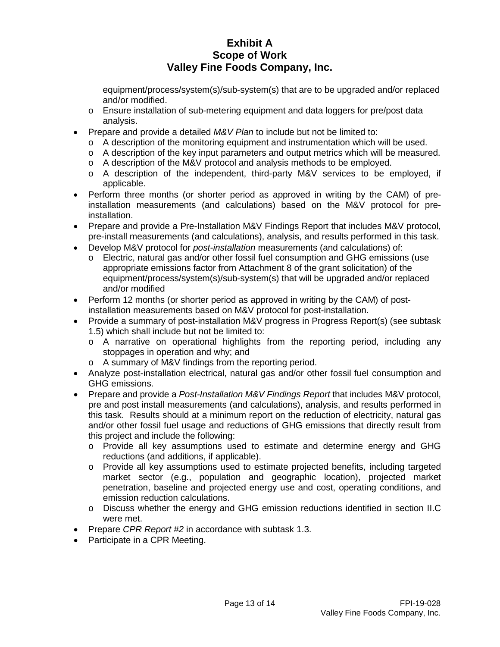equipment/process/system(s)/sub-system(s) that are to be upgraded and/or replaced and/or modified.

- o Ensure installation of sub-metering equipment and data loggers for pre/post data analysis.
- Prepare and provide a detailed *M&V Plan* to include but not be limited to:
	- $\circ$  A description of the monitoring equipment and instrumentation which will be used.
	- o A description of the key input parameters and output metrics which will be measured.
	- o A description of the M&V protocol and analysis methods to be employed.
	- o A description of the independent, third-party M&V services to be employed, if applicable.
- Perform three months (or shorter period as approved in writing by the CAM) of preinstallation measurements (and calculations) based on the M&V protocol for preinstallation.
- Prepare and provide a Pre-Installation M&V Findings Report that includes M&V protocol, pre-install measurements (and calculations), analysis, and results performed in this task.
- Develop M&V protocol for *post-installation* measurements (and calculations) of:
	- o Electric, natural gas and/or other fossil fuel consumption and GHG emissions (use appropriate emissions factor from Attachment 8 of the grant solicitation) of the equipment/process/system(s)/sub-system(s) that will be upgraded and/or replaced and/or modified
- Perform 12 months (or shorter period as approved in writing by the CAM) of postinstallation measurements based on M&V protocol for post-installation.
- Provide a summary of post-installation M&V progress in Progress Report(s) (see subtask 1.5) which shall include but not be limited to:
	- o A narrative on operational highlights from the reporting period, including any stoppages in operation and why; and
	- o A summary of M&V findings from the reporting period.
- Analyze post-installation electrical, natural gas and/or other fossil fuel consumption and GHG emissions.
- Prepare and provide a *Post-Installation M&V Findings Report* that includes M&V protocol, pre and post install measurements (and calculations), analysis, and results performed in this task. Results should at a minimum report on the reduction of electricity, natural gas and/or other fossil fuel usage and reductions of GHG emissions that directly result from this project and include the following:
	- o Provide all key assumptions used to estimate and determine energy and GHG reductions (and additions, if applicable).
	- o Provide all key assumptions used to estimate projected benefits, including targeted market sector (e.g., population and geographic location), projected market penetration, baseline and projected energy use and cost, operating conditions, and emission reduction calculations.
	- o Discuss whether the energy and GHG emission reductions identified in section II.C were met.
- Prepare *CPR Report #2* in accordance with subtask 1.3.
- Participate in a CPR Meeting.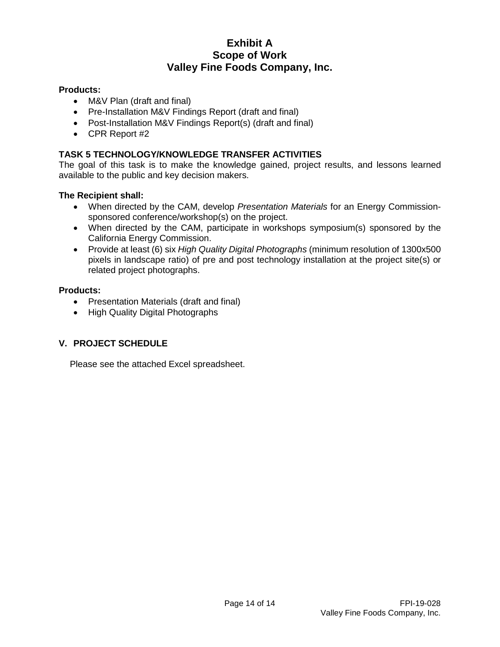## **Products:**

- M&V Plan (draft and final)
- Pre-Installation M&V Findings Report (draft and final)
- Post-Installation M&V Findings Report(s) (draft and final)
- CPR Report #2

# **TASK 5 TECHNOLOGY/KNOWLEDGE TRANSFER ACTIVITIES**

The goal of this task is to make the knowledge gained, project results, and lessons learned available to the public and key decision makers.

## **The Recipient shall:**

- When directed by the CAM, develop *Presentation Materials* for an Energy Commissionsponsored conference/workshop(s) on the project.
- When directed by the CAM, participate in workshops symposium(s) sponsored by the California Energy Commission.
- Provide at least (6) six *High Quality Digital Photographs* (minimum resolution of 1300x500 pixels in landscape ratio) of pre and post technology installation at the project site(s) or related project photographs.

## **Products:**

- Presentation Materials (draft and final)
- High Quality Digital Photographs

# **V. PROJECT SCHEDULE**

Please see the attached Excel spreadsheet.